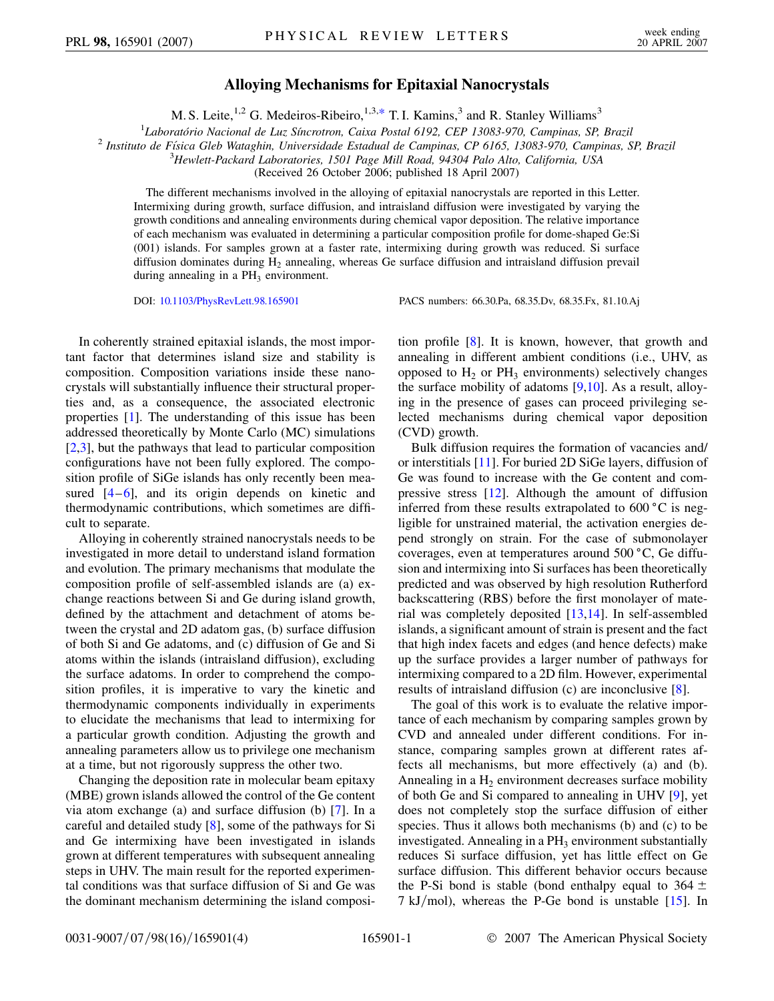## **Alloying Mechanisms for Epitaxial Nanocrystals**

M. S. Leite, <sup>1,2</sup> G. Medeiros-Ribeiro, <sup>1,3,[\\*](#page-3-0)</sup> T. I. Kamins,<sup>3</sup> and R. Stanley Williams<sup>3</sup>

<sup>1</sup>Laboratório Nacional de Luz Síncrotron, Caixa Postal 6192, CEP 13083-970, Campinas, SP, Brazil

<span id="page-0-0"></span><sup>2</sup> Instituto de Física Gleb Wataghin, Universidade Estadual de Campinas, CP 6165, 13083-970, Campinas, SP, Brazil

3 *Hewlett-Packard Laboratories, 1501 Page Mill Road, 94304 Palo Alto, California, USA*

(Received 26 October 2006; published 18 April 2007)

The different mechanisms involved in the alloying of epitaxial nanocrystals are reported in this Letter. Intermixing during growth, surface diffusion, and intraisland diffusion were investigated by varying the growth conditions and annealing environments during chemical vapor deposition. The relative importance of each mechanism was evaluated in determining a particular composition profile for dome-shaped Ge:Si (001) islands. For samples grown at a faster rate, intermixing during growth was reduced. Si surface diffusion dominates during  $H_2$  annealing, whereas Ge surface diffusion and intraisland diffusion prevail during annealing in a  $PH_3$  environment.

DOI: [10.1103/PhysRevLett.98.165901](http://dx.doi.org/10.1103/PhysRevLett.98.165901) PACS numbers: 66.30.Pa, 68.35.Dv, 68.35.Fx, 81.10.Aj

In coherently strained epitaxial islands, the most important factor that determines island size and stability is composition. Composition variations inside these nanocrystals will substantially influence their structural properties and, as a consequence, the associated electronic properties [[1\]](#page-3-1). The understanding of this issue has been addressed theoretically by Monte Carlo (MC) simulations [\[2,](#page-3-2)[3](#page-3-3)], but the pathways that lead to particular composition configurations have not been fully explored. The composition profile of SiGe islands has only recently been measured  $[4-6]$  $[4-6]$  $[4-6]$ , and its origin depends on kinetic and thermodynamic contributions, which sometimes are difficult to separate.

Alloying in coherently strained nanocrystals needs to be investigated in more detail to understand island formation and evolution. The primary mechanisms that modulate the composition profile of self-assembled islands are (a) exchange reactions between Si and Ge during island growth, defined by the attachment and detachment of atoms between the crystal and 2D adatom gas, (b) surface diffusion of both Si and Ge adatoms, and (c) diffusion of Ge and Si atoms within the islands (intraisland diffusion), excluding the surface adatoms. In order to comprehend the composition profiles, it is imperative to vary the kinetic and thermodynamic components individually in experiments to elucidate the mechanisms that lead to intermixing for a particular growth condition. Adjusting the growth and annealing parameters allow us to privilege one mechanism at a time, but not rigorously suppress the other two.

Changing the deposition rate in molecular beam epitaxy (MBE) grown islands allowed the control of the Ge content via atom exchange (a) and surface diffusion (b) [[7](#page-3-6)]. In a careful and detailed study [\[8](#page-3-7)], some of the pathways for Si and Ge intermixing have been investigated in islands grown at different temperatures with subsequent annealing steps in UHV. The main result for the reported experimental conditions was that surface diffusion of Si and Ge was the dominant mechanism determining the island composition profile [[8](#page-3-7)]. It is known, however, that growth and annealing in different ambient conditions (i.e., UHV, as opposed to  $H_2$  or  $PH_3$  environments) selectively changes the surface mobility of adatoms  $[9,10]$  $[9,10]$ . As a result, alloying in the presence of gases can proceed privileging selected mechanisms during chemical vapor deposition (CVD) growth.

Bulk diffusion requires the formation of vacancies and/ or interstitials [[11\]](#page-3-10). For buried 2D SiGe layers, diffusion of Ge was found to increase with the Ge content and compressive stress [\[12\]](#page-3-11). Although the amount of diffusion inferred from these results extrapolated to  $600\degree C$  is negligible for unstrained material, the activation energies depend strongly on strain. For the case of submonolayer coverages, even at temperatures around  $500\degree C$ , Ge diffusion and intermixing into Si surfaces has been theoretically predicted and was observed by high resolution Rutherford backscattering (RBS) before the first monolayer of material was completely deposited [[13,](#page-3-12)[14](#page-3-13)]. In self-assembled islands, a significant amount of strain is present and the fact that high index facets and edges (and hence defects) make up the surface provides a larger number of pathways for intermixing compared to a 2D film. However, experimental results of intraisland diffusion (c) are inconclusive [[8\]](#page-3-7).

The goal of this work is to evaluate the relative importance of each mechanism by comparing samples grown by CVD and annealed under different conditions. For instance, comparing samples grown at different rates affects all mechanisms, but more effectively (a) and (b). Annealing in a  $H<sub>2</sub>$  environment decreases surface mobility of both Ge and Si compared to annealing in UHV [[9](#page-3-8)], yet does not completely stop the surface diffusion of either species. Thus it allows both mechanisms (b) and (c) to be investigated. Annealing in a  $PH_3$  environment substantially reduces Si surface diffusion, yet has little effect on Ge surface diffusion. This different behavior occurs because the P-Si bond is stable (bond enthalpy equal to  $364 \pm$ 7 kJ/mol), whereas the P-Ge bond is unstable [[15](#page-3-14)]. In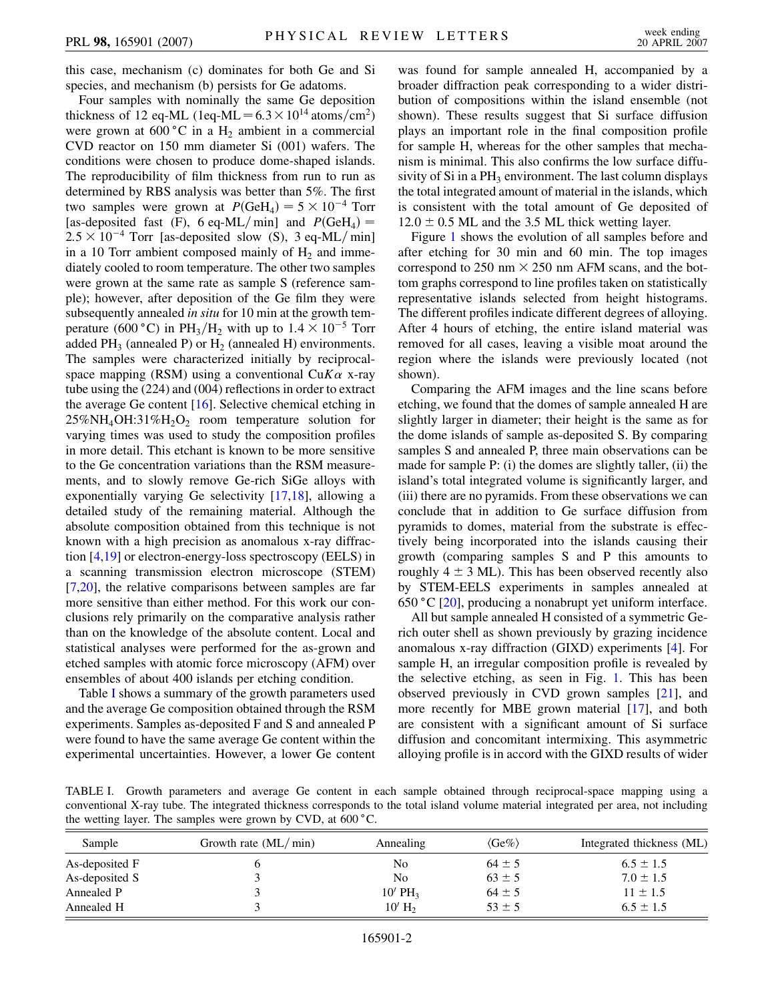this case, mechanism (c) dominates for both Ge and Si species, and mechanism (b) persists for Ge adatoms.

Four samples with nominally the same Ge deposition thickness of 12 eq-ML (1eq-ML =  $6.3 \times 10^{14}$  atoms/cm<sup>2</sup>) were grown at  $600\degree C$  in a H<sub>2</sub> ambient in a commercial CVD reactor on 150 mm diameter Si (001) wafers. The conditions were chosen to produce dome-shaped islands. The reproducibility of film thickness from run to run as determined by RBS analysis was better than 5%. The first two samples were grown at  $P(\text{GeH}_4) = 5 \times 10^{-4}$  Torr [as-deposited fast (F), 6 eq-ML/min] and  $P(\text{GeH}_4)$  =  $2.5 \times 10^{-4}$  Torr [as-deposited slow (S), 3 eq-ML/min] in a 10 Torr ambient composed mainly of  $H_2$  and immediately cooled to room temperature. The other two samples were grown at the same rate as sample S (reference sample); however, after deposition of the Ge film they were subsequently annealed *in situ* for 10 min at the growth temperature (600 °C) in PH<sub>3</sub>/H<sub>2</sub> with up to  $1.4 \times 10^{-5}$  Torr added  $PH_3$  (annealed P) or  $H_2$  (annealed H) environments. The samples were characterized initially by reciprocalspace mapping (RSM) using a conventional  $CuK\alpha$  x-ray tube using the (224) and (004) reflections in order to extract the average Ge content [[16\]](#page-3-15). Selective chemical etching in  $25\%NH_{4}OH:31\%H_{2}O_{2}$  room temperature solution for varying times was used to study the composition profiles in more detail. This etchant is known to be more sensitive to the Ge concentration variations than the RSM measurements, and to slowly remove Ge-rich SiGe alloys with exponentially varying Ge selectivity [\[17](#page-3-16)[,18\]](#page-3-17), allowing a detailed study of the remaining material. Although the absolute composition obtained from this technique is not known with a high precision as anomalous x-ray diffraction [\[4](#page-3-4)[,19](#page-3-18)] or electron-energy-loss spectroscopy (EELS) in a scanning transmission electron microscope (STEM) [\[7,](#page-3-6)[20\]](#page-3-19), the relative comparisons between samples are far more sensitive than either method. For this work our conclusions rely primarily on the comparative analysis rather than on the knowledge of the absolute content. Local and statistical analyses were performed for the as-grown and etched samples with atomic force microscopy (AFM) over ensembles of about 400 islands per etching condition.

Table I shows a summary of the growth parameters used and the average Ge composition obtained through the RSM experiments. Samples as-deposited F and S and annealed P were found to have the same average Ge content within the experimental uncertainties. However, a lower Ge content was found for sample annealed H, accompanied by a broader diffraction peak corresponding to a wider distribution of compositions within the island ensemble (not shown). These results suggest that Si surface diffusion plays an important role in the final composition profile for sample H, whereas for the other samples that mechanism is minimal. This also confirms the low surface diffusivity of Si in a  $PH_3$  environment. The last column displays the total integrated amount of material in the islands, which is consistent with the total amount of Ge deposited of  $12.0 \pm 0.5$  ML and the 3.5 ML thick wetting layer.

Figure [1](#page-2-0) shows the evolution of all samples before and after etching for 30 min and 60 min. The top images correspond to 250 nm  $\times$  250 nm AFM scans, and the bottom graphs correspond to line profiles taken on statistically representative islands selected from height histograms. The different profiles indicate different degrees of alloying. After 4 hours of etching, the entire island material was removed for all cases, leaving a visible moat around the region where the islands were previously located (not shown).

Comparing the AFM images and the line scans before etching, we found that the domes of sample annealed H are slightly larger in diameter; their height is the same as for the dome islands of sample as-deposited S. By comparing samples S and annealed P, three main observations can be made for sample P: (i) the domes are slightly taller, (ii) the island's total integrated volume is significantly larger, and (iii) there are no pyramids. From these observations we can conclude that in addition to Ge surface diffusion from pyramids to domes, material from the substrate is effectively being incorporated into the islands causing their growth (comparing samples S and P this amounts to roughly  $4 \pm 3$  ML). This has been observed recently also by STEM-EELS experiments in samples annealed at  $650 \degree C$  [[20](#page-3-19)], producing a nonabrupt yet uniform interface.

All but sample annealed H consisted of a symmetric Gerich outer shell as shown previously by grazing incidence anomalous x-ray diffraction (GIXD) experiments [\[4](#page-3-4)]. For sample H, an irregular composition profile is revealed by the selective etching, as seen in Fig. [1](#page-2-0). This has been observed previously in CVD grown samples [[21](#page-3-20)], and more recently for MBE grown material [[17](#page-3-16)], and both are consistent with a significant amount of Si surface diffusion and concomitant intermixing. This asymmetric alloying profile is in accord with the GIXD results of wider

TABLE I. Growth parameters and average Ge content in each sample obtained through reciprocal-space mapping using a conventional X-ray tube. The integrated thickness corresponds to the total island volume material integrated per area, not including the wetting layer. The samples were grown by CVD, at  $600^{\circ}$ C.

| Sample         | Growth rate $(ML/min)$ | Annealing             | $\langle Ge\% \rangle$ | Integrated thickness (ML) |
|----------------|------------------------|-----------------------|------------------------|---------------------------|
| As-deposited F |                        | No                    | $64 \pm 5$             | $6.5 \pm 1.5$             |
| As-deposited S |                        | N <sub>0</sub>        | $63 \pm 5$             | $7.0 \pm 1.5$             |
| Annealed P     |                        | $10'$ PH <sub>3</sub> | $64 \pm 5$             | $11 \pm 1.5$              |
| Annealed H     |                        | $10'$ H <sub>2</sub>  | $53 \pm 5$             | $6.5 \pm 1.5$             |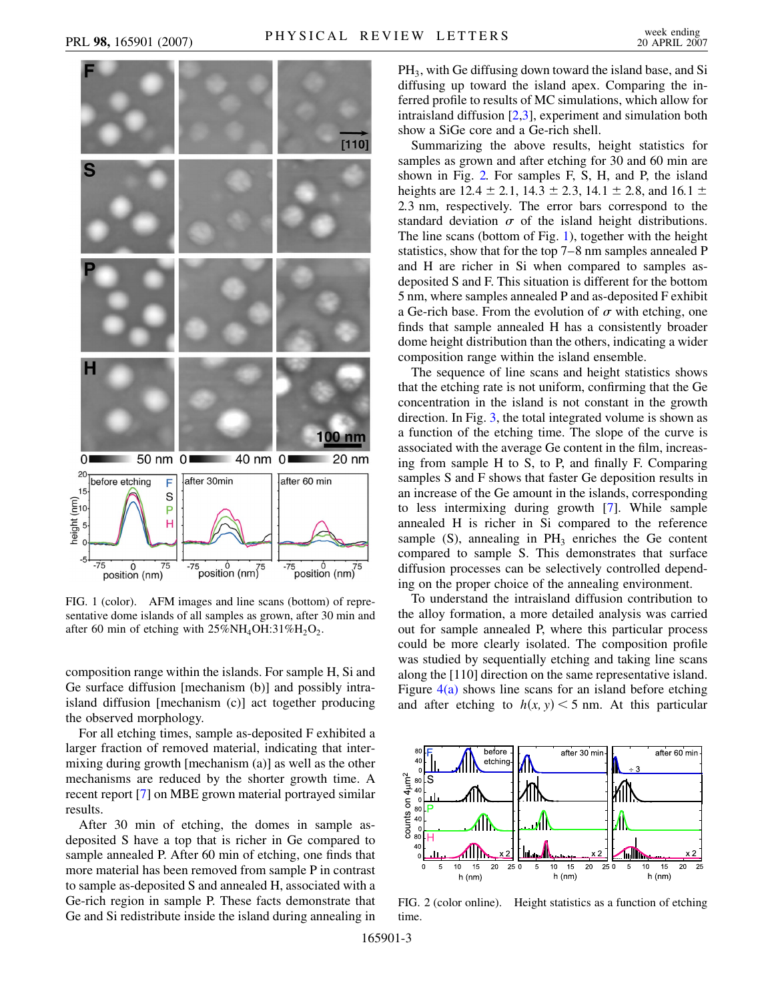<span id="page-2-0"></span>

FIG. 1 (color). AFM images and line scans (bottom) of representative dome islands of all samples as grown, after 30 min and after 60 min of etching with  $25\%NH_4OH:31\%H_2O_2$ .

composition range within the islands. For sample H, Si and Ge surface diffusion [mechanism (b)] and possibly intraisland diffusion [mechanism (c)] act together producing the observed morphology.

For all etching times, sample as-deposited F exhibited a larger fraction of removed material, indicating that intermixing during growth [mechanism (a)] as well as the other mechanisms are reduced by the shorter growth time. A recent report [[7](#page-3-6)] on MBE grown material portrayed similar results.

After 30 min of etching, the domes in sample asdeposited S have a top that is richer in Ge compared to sample annealed P. After 60 min of etching, one finds that more material has been removed from sample P in contrast to sample as-deposited S and annealed H, associated with a Ge-rich region in sample P. These facts demonstrate that Ge and Si redistribute inside the island during annealing in PH3, with Ge diffusing down toward the island base, and Si diffusing up toward the island apex. Comparing the inferred profile to results of MC simulations, which allow for intraisland diffusion [\[2,](#page-3-2)[3\]](#page-3-3), experiment and simulation both show a SiGe core and a Ge-rich shell.

Summarizing the above results, height statistics for samples as grown and after etching for 30 and 60 min are shown in Fig. [2.](#page-2-1) For samples F, S, H, and P, the island heights are  $12.4 \pm 2.1$ ,  $14.3 \pm 2.3$ ,  $14.1 \pm 2.8$ , and  $16.1 \pm 2.5$ 2*:*3 nm, respectively. The error bars correspond to the standard deviation  $\sigma$  of the island height distributions. The line scans (bottom of Fig. [1](#page-2-0)), together with the height statistics, show that for the top 7–8 nm samples annealed P and H are richer in Si when compared to samples asdeposited S and F. This situation is different for the bottom 5 nm, where samples annealed P and as-deposited F exhibit a Ge-rich base. From the evolution of  $\sigma$  with etching, one finds that sample annealed H has a consistently broader dome height distribution than the others, indicating a wider composition range within the island ensemble.

The sequence of line scans and height statistics shows that the etching rate is not uniform, confirming that the Ge concentration in the island is not constant in the growth direction. In Fig. [3,](#page-3-21) the total integrated volume is shown as a function of the etching time. The slope of the curve is associated with the average Ge content in the film, increasing from sample H to S, to P, and finally F. Comparing samples S and F shows that faster Ge deposition results in an increase of the Ge amount in the islands, corresponding to less intermixing during growth [\[7\]](#page-3-6). While sample annealed H is richer in Si compared to the reference sample  $(S)$ , annealing in  $PH_3$  enriches the Ge content compared to sample S. This demonstrates that surface diffusion processes can be selectively controlled depending on the proper choice of the annealing environment.

To understand the intraisland diffusion contribution to the alloy formation, a more detailed analysis was carried out for sample annealed P, where this particular process could be more clearly isolated. The composition profile was studied by sequentially etching and taking line scans along the [110] direction on the same representative island. Figure  $4(a)$  shows line scans for an island before etching and after etching to  $h(x, y) < 5$  nm. At this particular

<span id="page-2-1"></span>

FIG. 2 (color online). Height statistics as a function of etching time.